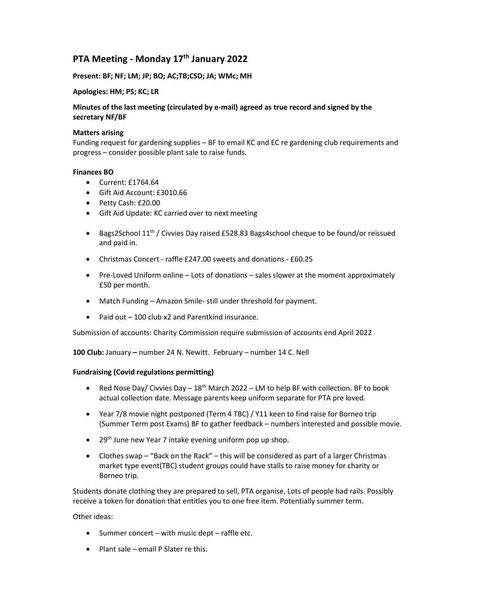# PTA Meeting - Monday 17<sup>th</sup> January 2022

## Present: BF; NF; LM; JP; BO; AC;TB;CSD; JA; WMc; MH

#### Apologies: HM; PS; KC; LR

# Minutes of the last meeting (circulated by e-mail) agreed as true record and signed by the secretary NF/BF

#### Matters arising

Funding request for gardening supplies – BF to email KC and EC re gardening club requirements and progress – consider possible plant sale to raise funds.

#### Finances BO

- Current: £1764.64
- Gift Aid Account: £3010.66
- Petty Cash: £20.00
- Gift Aid Update: KC carried over to next meeting
- **Bags2School 11<sup>th</sup> / Civvies Day raised £528.83 Bags4school cheque to be found/or reissued** and paid in.
- Christmas Concert raffle £247.00 sweets and donations £60.25
- Pre-Loved Uniform online Lots of donations sales slower at the moment approximately £50 per month.
- Match Funding Amazon Smile- still under threshold for payment.
- Paid out 100 club x2 and Parentkind insurance.

Submission of accounts: Charity Commission require submission of accounts end April 2022

100 Club: January – number 24 N. Newitt. February – number 14 C. Nell

## Fundraising (Covid regulations permitting)

- Red Nose Day/ Civvies Day  $-18^{th}$  March 2022 LM to help BF with collection. BF to book actual collection date. Message parents keep uniform separate for PTA pre loved.
- Year 7/8 movie night postponed (Term 4 TBC) / Y11 keen to find raise for Borneo trip (Summer Term post Exams) BF to gather feedback – numbers interested and possible movie.
- 29<sup>th</sup> June new Year 7 intake evening uniform pop up shop.
- Clothes swap "Back on the Rack" this will be considered as part of a larger Christmas market type event(TBC) student groups could have stalls to raise money for charity or Borneo trip.

Students donate clothing they are prepared to sell, PTA organise. Lots of people had rails. Possibly receive a token for donation that entitles you to one free item. Potentially summer term.

Other ideas:

- $\bullet$  Summer concert with music dept raffle etc.
- $\bullet$  Plant sale email P Slater re this.